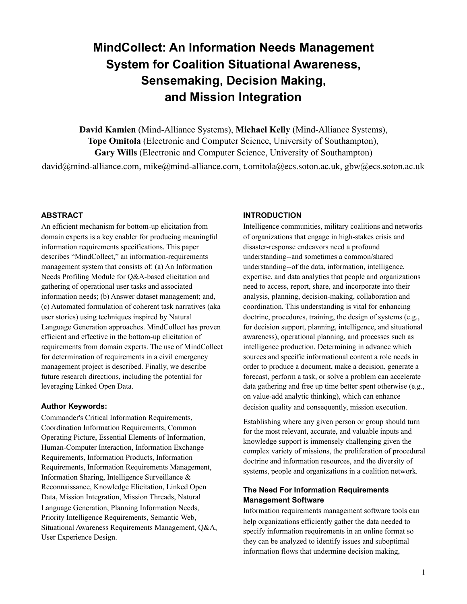# **MindCollect: An Information Needs Management System for Coalition Situational Awareness, Sensemaking, Decision Making, and Mission Integration**

**David Kamien** (Mind-Alliance Systems), **Michael Kelly** (Mind-Alliance Systems), **Tope Omitola** (Electronic and Computer Science, University of Southampton), **Gary Wills** (Electronic and Computer Science, University of Southampton) david@mind-alliance.com, mike@mind-alliance.com, t.omitola@ecs.soton.ac.uk, gbw@ecs.soton.ac.uk

### **ABSTRACT**

An efficient mechanism for bottom-up elicitation from domain experts is a key enabler for producing meaningful information requirements specifications. This paper describes "MindCollect," an information-requirements management system that consists of: (a) An Information Needs Profiling Module for Q&A-based elicitation and gathering of operational user tasks and associated information needs; (b) Answer dataset management; and, (c) Automated formulation of coherent task narratives (aka user stories) using techniques inspired by Natural Language Generation approaches. MindCollect has proven efficient and effective in the bottom-up elicitation of requirements from domain experts. The use of MindCollect for determination of requirements in a civil emergency management project is described. Finally, we describe future research directions, including the potential for leveraging Linked Open Data.

#### **Author Keywords:**

Commander's Critical Information Requirements, Coordination Information Requirements, Common Operating Picture, Essential Elements of Information, Human-Computer Interaction, Information Exchange Requirements, Information Products, Information Requirements, Information Requirements Management, Information Sharing, Intelligence Surveillance & Reconnaissance, Knowledge Elicitation, Linked Open Data, Mission Integration, Mission Threads, Natural Language Generation, Planning Information Needs, Priority Intelligence Requirements, Semantic Web, Situational Awareness Requirements Management, Q&A, User Experience Design.

#### **INTRODUCTION**

Intelligence communities, military coalitions and networks of organizations that engage in high-stakes crisis and disaster-response endeavors need a profound understanding--and sometimes a common/shared understanding--of the data, information, intelligence, expertise, and data analytics that people and organizations need to access, report, share, and incorporate into their analysis, planning, decision-making, collaboration and coordination. This understanding is vital for enhancing doctrine, procedures, training, the design of systems (e.g., for decision support, planning, intelligence, and situational awareness), operational planning, and processes such as intelligence production. Determining in advance which sources and specific informational content a role needs in order to produce a document, make a decision, generate a forecast, perform a task, or solve a problem can accelerate data gathering and free up time better spent otherwise (e.g., on value-add analytic thinking), which can enhance decision quality and consequently, mission execution.

Establishing where any given person or group should turn for the most relevant, accurate, and valuable inputs and knowledge support is immensely challenging given the complex variety of missions, the proliferation of procedural doctrine and information resources, and the diversity of systems, people and organizations in a coalition network.

## **The Need For Information Requirements Management Software**

Information requirements management software tools can help organizations efficiently gather the data needed to specify information requirements in an online format so they can be analyzed to identify issues and suboptimal information flows that undermine decision making,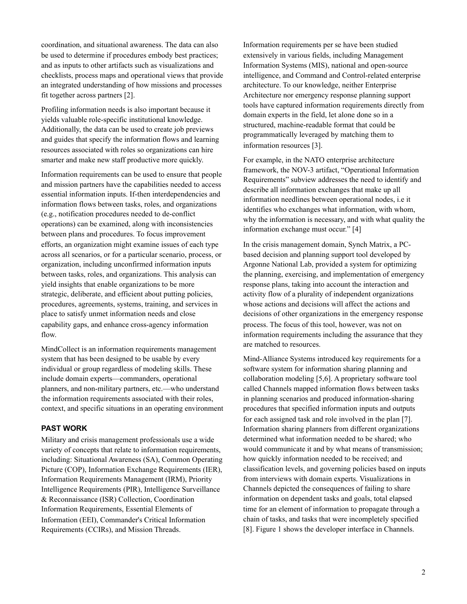coordination, and situational awareness. The data can also be used to determine if procedures embody best practices; and as inputs to other artifacts such as visualizations and checklists, process maps and operational views that provide an integrated understanding of how missions and processes fit together across partners [2].

Profiling information needs is also important because it yields valuable role-specific institutional knowledge. Additionally, the data can be used to create job previews and guides that specify the information flows and learning resources associated with roles so organizations can hire smarter and make new staff productive more quickly.

Information requirements can be used to ensure that people and mission partners have the capabilities needed to access essential information inputs. If-then interdependencies and information flows between tasks, roles, and organizations (e.g., notification procedures needed to de-conflict operations) can be examined, along with inconsistencies between plans and procedures. To focus improvement efforts, an organization might examine issues of each type across all scenarios, or for a particular scenario, process, or organization, including unconfirmed information inputs between tasks, roles, and organizations. This analysis can yield insights that enable organizations to be more strategic, deliberate, and efficient about putting policies, procedures, agreements, systems, training, and services in place to satisfy unmet information needs and close capability gaps, and enhance cross-agency information flow.

MindCollect is an information requirements management system that has been designed to be usable by every individual or group regardless of modeling skills. These include domain experts—commanders, operational planners, and non-military partners, etc.—who understand the information requirements associated with their roles, context, and specific situations in an operating environment

## **PAST WORK**

Military and crisis management professionals use a wide variety of concepts that relate to information requirements, including: Situational Awareness (SA), Common Operating Picture (COP), Information Exchange Requirements (IER), Information Requirements Management (IRM), Priority Intelligence Requirements (PIR), Intelligence Surveillance & Reconnaissance (ISR) Collection, Coordination Information Requirements, Essential Elements of Information (EEI), Commander's Critical Information Requirements (CCIRs), and Mission Threads.

Information requirements per se have been studied extensively in various fields, including Management Information Systems (MIS), national and open-source intelligence, and Command and Control-related enterprise architecture. To our knowledge, neither Enterprise Architecture nor emergency response planning support tools have captured information requirements directly from domain experts in the field, let alone done so in a structured, machine-readable format that could be programmatically leveraged by matching them to information resources [3].

For example, in the NATO enterprise architecture framework, the NOV-3 artifact, "Operational Information Requirements" subview addresses the need to identify and describe all information exchanges that make up all information needlines between operational nodes, i.e it identifies who exchanges what information, with whom, why the information is necessary, and with what quality the information exchange must occur." [4]

In the crisis management domain, Synch Matrix, a PCbased decision and planning support tool developed by Argonne National Lab, provided a system for optimizing the planning, exercising, and implementation of emergency response plans, taking into account the interaction and activity flow of a plurality of independent organizations whose actions and decisions will affect the actions and decisions of other organizations in the emergency response process. The focus of this tool, however, was not on information requirements including the assurance that they are matched to resources.

Mind-Alliance Systems introduced key requirements for a software system for information sharing planning and collaboration modeling [5,6]. A proprietary software tool called Channels mapped information flows between tasks in planning scenarios and produced information-sharing procedures that specified information inputs and outputs for each assigned task and role involved in the plan [7]. Information sharing planners from different organizations determined what information needed to be shared; who would communicate it and by what means of transmission; how quickly information needed to be received; and classification levels, and governing policies based on inputs from interviews with domain experts. Visualizations in Channels depicted the consequences of failing to share information on dependent tasks and goals, total elapsed time for an element of information to propagate through a chain of tasks, and tasks that were incompletely specified [8]. Figure 1 shows the developer interface in Channels.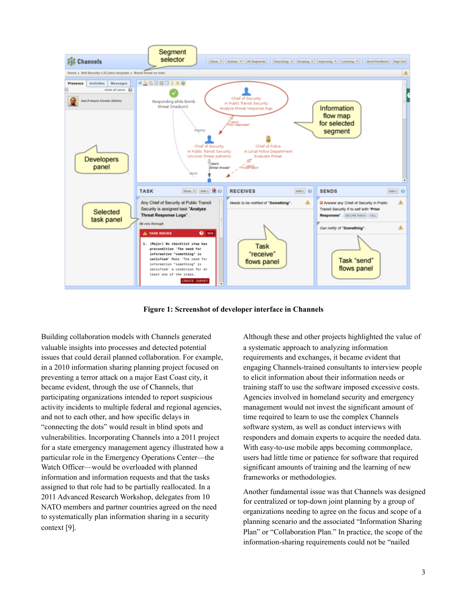

**Figure 1: Screenshot of developer interface in Channels**

Building collaboration models with Channels generated valuable insights into processes and detected potential issues that could derail planned collaboration. For example, in a 2010 information sharing planning project focused on preventing a terror attack on a major East Coast city, it became evident, through the use of Channels, that participating organizations intended to report suspicious activity incidents to multiple federal and regional agencies, and not to each other, and how specific delays in "connecting the dots" would result in blind spots and vulnerabilities. Incorporating Channels into a 2011 project for a state emergency management agency illustrated how a particular role in the Emergency Operations Center—the Watch Officer—would be overloaded with planned information and information requests and that the tasks assigned to that role had to be partially reallocated. In a 2011 Advanced Research Workshop, delegates from 10 NATO members and partner countries agreed on the need to systematically plan information sharing in a security context [9].

Although these and other projects highlighted the value of a systematic approach to analyzing information requirements and exchanges, it became evident that engaging Channels-trained consultants to interview people to elicit information about their information needs or training staff to use the software imposed excessive costs. Agencies involved in homeland security and emergency management would not invest the significant amount of time required to learn to use the complex Channels software system, as well as conduct interviews with responders and domain experts to acquire the needed data. With easy-to-use mobile apps becoming commonplace, users had little time or patience for software that required significant amounts of training and the learning of new frameworks or methodologies.

Another fundamental issue was that Channels was designed for centralized or top-down joint planning by a group of organizations needing to agree on the focus and scope of a planning scenario and the associated "Information Sharing Plan" or "Collaboration Plan." In practice, the scope of the information-sharing requirements could not be "nailed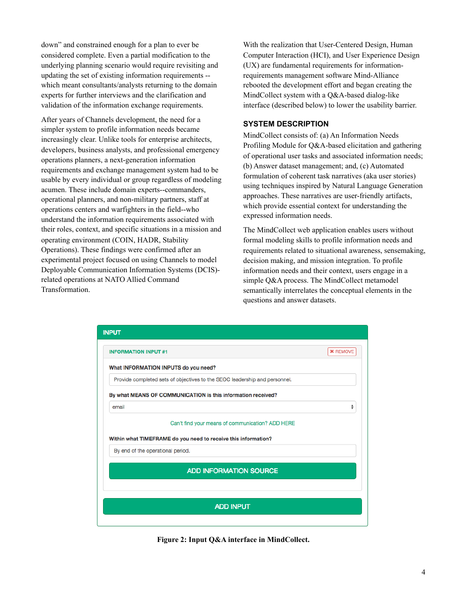down" and constrained enough for a plan to ever be considered complete. Even a partial modification to the underlying planning scenario would require revisiting and updating the set of existing information requirements - which meant consultants/analysts returning to the domain experts for further interviews and the clarification and validation of the information exchange requirements.

After years of Channels development, the need for a simpler system to profile information needs became increasingly clear. Unlike tools for enterprise architects, developers, business analysts, and professional emergency operations planners, a next-generation information requirements and exchange management system had to be usable by every individual or group regardless of modeling acumen. These include domain experts--commanders, operational planners, and non-military partners, staff at operations centers and warfighters in the field--who understand the information requirements associated with their roles, context, and specific situations in a mission and operating environment (COIN, HADR, Stability Operations). These findings were confirmed after an experimental project focused on using Channels to model Deployable Communication Information Systems (DCIS) related operations at NATO Allied Command Transformation.

With the realization that User-Centered Design, Human Computer Interaction (HCI), and User Experience Design (UX) are fundamental requirements for informationrequirements management software Mind-Alliance rebooted the development effort and began creating the MindCollect system with a Q&A-based dialog-like interface (described below) to lower the usability barrier.

## **SYSTEM DESCRIPTION**

MindCollect consists of: (a) An Information Needs Profiling Module for Q&A-based elicitation and gathering of operational user tasks and associated information needs; (b) Answer dataset management; and, (c) Automated formulation of coherent task narratives (aka user stories) using techniques inspired by Natural Language Generation approaches. These narratives are user-friendly artifacts, which provide essential context for understanding the expressed information needs.

The MindCollect web application enables users without formal modeling skills to profile information needs and requirements related to situational awareness, sensemaking, decision making, and mission integration. To profile information needs and their context, users engage in a simple Q&A process. The MindCollect metamodel semantically interrelates the conceptual elements in the questions and answer datasets.



**Figure 2: Input Q&A interface in MindCollect.**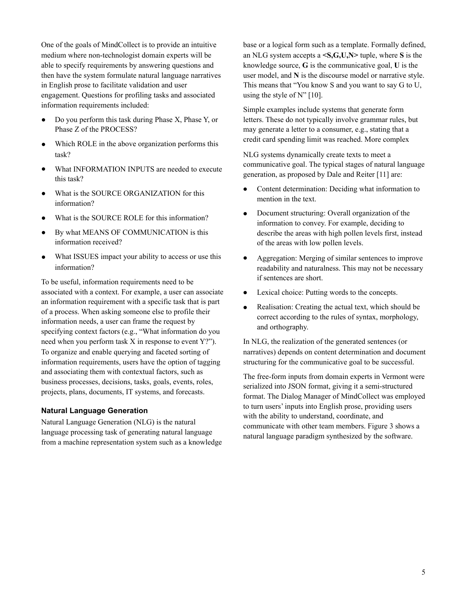One of the goals of MindCollect is to provide an intuitive medium where non-technologist domain experts will be able to specify requirements by answering questions and then have the system formulate natural language narratives in English prose to facilitate validation and user engagement. Questions for profiling tasks and associated information requirements included:

- Do you perform this task during Phase X, Phase Y, or Phase Z of the PROCESS?
- Which ROLE in the above organization performs this task?
- What INFORMATION INPUTS are needed to execute this task?
- What is the SOURCE ORGANIZATION for this information?
- What is the SOURCE ROLE for this information?
- By what MEANS OF COMMUNICATION is this information received?
- What ISSUES impact your ability to access or use this information?

To be useful, information requirements need to be associated with a context. For example, a user can associate an information requirement with a specific task that is part of a process. When asking someone else to profile their information needs, a user can frame the request by specifying context factors (e.g., "What information do you need when you perform task X in response to event Y?"). To organize and enable querying and faceted sorting of information requirements, users have the option of tagging and associating them with contextual factors, such as business processes, decisions, tasks, goals, events, roles, projects, plans, documents, IT systems, and forecasts.

#### **Natural Language Generation**

Natural Language Generation (NLG) is the natural language processing task of generating natural language from a machine representation system such as a knowledge base or a logical form such as a template. Formally defined, an NLG system accepts a **<S,G,U,N>** tuple, where **S** is the knowledge source, **G** is the communicative goal, **U** is the user model, and **N** is the discourse model or narrative style. This means that "You know S and you want to say G to U, using the style of  $N''$  [10].

Simple examples include systems that generate form letters. These do not typically involve grammar rules, but may generate a letter to a consumer, e.g., stating that a credit card spending limit was reached. More complex

NLG systems dynamically create texts to meet a communicative goal. The typical stages of natural language generation, as proposed by Dale and Reiter [11] are:

- Content determination: Deciding what information to mention in the text.
- Document structuring: Overall organization of the information to convey. For example, deciding to describe the areas with high pollen levels first, instead of the areas with low pollen levels.
- Aggregation: Merging of similar sentences to improve readability and naturalness. This may not be necessary if sentences are short.
- Lexical choice: Putting words to the concepts.
- Realisation: Creating the actual text, which should be correct according to the rules of syntax, morphology, and orthography.

In NLG, the realization of the generated sentences (or narratives) depends on content determination and document structuring for the communicative goal to be successful.

The free-form inputs from domain experts in Vermont were serialized into JSON format, giving it a semi-structured format. The Dialog Manager of MindCollect was employed to turn users' inputs into English prose, providing users with the ability to understand, coordinate, and communicate with other team members. Figure 3 shows a natural language paradigm synthesized by the software.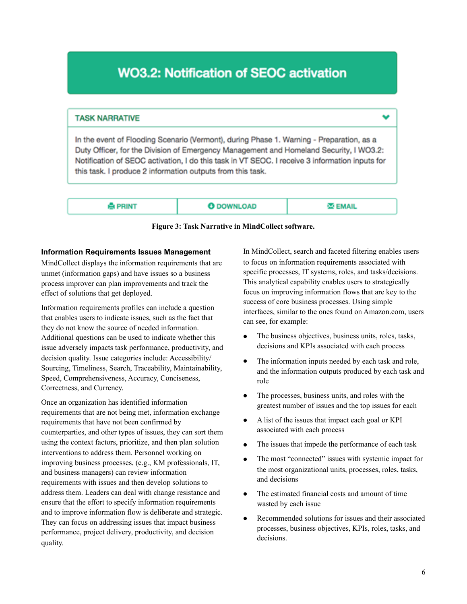# **WO3.2: Notification of SEOC activation**

## **TASK NARRATIVE**

In the event of Flooding Scenario (Vermont), during Phase 1, Warning - Preparation, as a Duty Officer, for the Division of Emergency Management and Homeland Security, I WO3.2: Notification of SEOC activation, I do this task in VT SEOC. I receive 3 information inputs for this task. I produce 2 information outputs from this task.

| PRINT | <b>O</b> DOWNLOAD | <b>NEMAIL</b> |
|-------|-------------------|---------------|
|       |                   |               |

|  |  | Figure 3: Task Narrative in MindCollect software. |  |
|--|--|---------------------------------------------------|--|
|  |  |                                                   |  |

#### **Information Requirements Issues Management**

MindCollect displays the information requirements that are unmet (information gaps) and have issues so a business process improver can plan improvements and track the effect of solutions that get deployed.

Information requirements profiles can include a question that enables users to indicate issues, such as the fact that they do not know the source of needed information. Additional questions can be used to indicate whether this issue adversely impacts task performance, productivity, and decision quality. Issue categories include: Accessibility/ Sourcing, Timeliness, Search, Traceability, Maintainability, Speed, Comprehensiveness, Accuracy, Conciseness, Correctness, and Currency.

Once an organization has identified information requirements that are not being met, information exchange requirements that have not been confirmed by counterparties, and other types of issues, they can sort them using the context factors, prioritize, and then plan solution interventions to address them. Personnel working on improving business processes, (e.g., KM professionals, IT, and business managers) can review information requirements with issues and then develop solutions to address them. Leaders can deal with change resistance and ensure that the effort to specify information requirements and to improve information flow is deliberate and strategic. They can focus on addressing issues that impact business performance, project delivery, productivity, and decision quality.

In MindCollect, search and faceted filtering enables users to focus on information requirements associated with specific processes, IT systems, roles, and tasks/decisions. This analytical capability enables users to strategically focus on improving information flows that are key to the success of core business processes. Using simple interfaces, similar to the ones found on Amazon.com, users can see, for example:

- The business objectives, business units, roles, tasks, decisions and KPIs associated with each process
- The information inputs needed by each task and role, and the information outputs produced by each task and role
- The processes, business units, and roles with the greatest number of issues and the top issues for each
- A list of the issues that impact each goal or KPI associated with each process
- The issues that impede the performance of each task
- The most "connected" issues with systemic impact for the most organizational units, processes, roles, tasks, and decisions
- The estimated financial costs and amount of time wasted by each issue
- Recommended solutions for issues and their associated processes, business objectives, KPIs, roles, tasks, and decisions.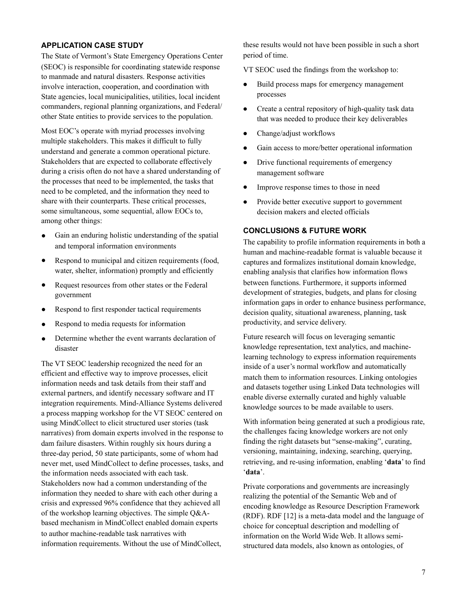### **APPLICATION CASE STUDY**

The State of Vermont's State Emergency Operations Center (SEOC) is responsible for coordinating statewide response to manmade and natural disasters. Response activities involve interaction, cooperation, and coordination with State agencies, local municipalities, utilities, local incident commanders, regional planning organizations, and Federal/ other State entities to provide services to the population.

Most EOC's operate with myriad processes involving multiple stakeholders. This makes it difficult to fully understand and generate a common operational picture. Stakeholders that are expected to collaborate effectively during a crisis often do not have a shared understanding of the processes that need to be implemented, the tasks that need to be completed, and the information they need to share with their counterparts. These critical processes, some simultaneous, some sequential, allow EOCs to, among other things:

- Gain an enduring holistic understanding of the spatial and temporal information environments
- Respond to municipal and citizen requirements (food, water, shelter, information) promptly and efficiently
- Request resources from other states or the Federal government
- Respond to first responder tactical requirements
- Respond to media requests for information
- Determine whether the event warrants declaration of disaster

The VT SEOC leadership recognized the need for an efficient and effective way to improve processes, elicit information needs and task details from their staff and external partners, and identify necessary software and IT integration requirements. Mind-Alliance Systems delivered a process mapping workshop for the VT SEOC centered on using MindCollect to elicit structured user stories (task narratives) from domain experts involved in the response to dam failure disasters. Within roughly six hours during a three-day period, 50 state participants, some of whom had never met, used MindCollect to define processes, tasks, and the information needs associated with each task. Stakeholders now had a common understanding of the information they needed to share with each other during a crisis and expressed 96% confidence that they achieved all of the workshop learning objectives. The simple Q&Abased mechanism in MindCollect enabled domain experts to author machine-readable task narratives with information requirements. Without the use of MindCollect,

these results would not have been possible in such a short period of time.

VT SEOC used the findings from the workshop to:

- Build process maps for emergency management processes
- Create a central repository of high-quality task data that was needed to produce their key deliverables
- Change/adjust workflows
- Gain access to more/better operational information
- Drive functional requirements of emergency management software
- Improve response times to those in need
- Provide better executive support to government decision makers and elected officials

## **CONCLUSIONS & FUTURE WORK**

The capability to profile information requirements in both a human and machine-readable format is valuable because it captures and formalizes institutional domain knowledge, enabling analysis that clarifies how information flows between functions. Furthermore, it supports informed development of strategies, budgets, and plans for closing information gaps in order to enhance business performance, decision quality, situational awareness, planning, task productivity, and service delivery.

Future research will focus on leveraging semantic knowledge representation, text analytics, and machinelearning technology to express information requirements inside of a user's normal workflow and automatically match them to information resources. Linking ontologies and datasets together using Linked Data technologies will enable diverse externally curated and highly valuable knowledge sources to be made available to users.

With information being generated at such a prodigious rate, the challenges facing knowledge workers are not only finding the right datasets but "sense-making", curating, versioning, maintaining, indexing, searching, querying, retrieving, and re-using information, enabling '**data**' to find '**data**'.

Private corporations and governments are increasingly realizing the potential of the Semantic Web and of encoding knowledge as Resource Description Framework (RDF). RDF [12] is a meta-data model and the language of choice for conceptual description and modelling of information on the World Wide Web. It allows semistructured data models, also known as ontologies, of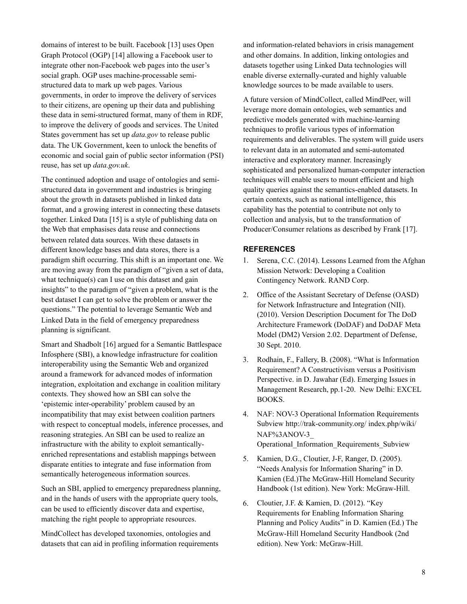domains of interest to be built. Facebook [13] uses Open Graph Protocol (OGP) [14] allowing a Facebook user to integrate other non-Facebook web pages into the user's social graph. OGP uses machine-processable semistructured data to mark up web pages. Various governments, in order to improve the delivery of services to their citizens, are opening up their data and publishing these data in semi-structured format, many of them in RDF, to improve the delivery of goods and services. The United States government has set up *data.gov* to release public data. The UK Government, keen to unlock the benefits of economic and social gain of public sector information (PSI) reuse, has set up *data.gov.uk*.

The continued adoption and usage of ontologies and semistructured data in government and industries is bringing about the growth in datasets published in linked data format, and a growing interest in connecting these datasets together. Linked Data [15] is a style of publishing data on the Web that emphasises data reuse and connections between related data sources. With these datasets in different knowledge bases and data stores, there is a paradigm shift occurring. This shift is an important one. We are moving away from the paradigm of "given a set of data, what technique(s) can I use on this dataset and gain insights" to the paradigm of "given a problem, what is the best dataset I can get to solve the problem or answer the questions." The potential to leverage Semantic Web and Linked Data in the field of emergency preparedness planning is significant.

Smart and Shadbolt [16] argued for a Semantic Battlespace Infosphere (SBI), a knowledge infrastructure for coalition interoperability using the Semantic Web and organized around a framework for advanced modes of information integration, exploitation and exchange in coalition military contexts. They showed how an SBI can solve the 'epistemic inter-operability' problem caused by an incompatibility that may exist between coalition partners with respect to conceptual models, inference processes, and reasoning strategies. An SBI can be used to realize an infrastructure with the ability to exploit semanticallyenriched representations and establish mappings between disparate entities to integrate and fuse information from semantically heterogeneous information sources.

Such an SBI, applied to emergency preparedness planning, and in the hands of users with the appropriate query tools, can be used to efficiently discover data and expertise, matching the right people to appropriate resources.

MindCollect has developed taxonomies, ontologies and datasets that can aid in profiling information requirements and information-related behaviors in crisis management and other domains. In addition, linking ontologies and datasets together using Linked Data technologies will enable diverse externally-curated and highly valuable knowledge sources to be made available to users.

A future version of MindCollect, called MindPeer, will leverage more domain ontologies, web semantics and predictive models generated with machine-learning techniques to profile various types of information requirements and deliverables. The system will guide users to relevant data in an automated and semi-automated interactive and exploratory manner. Increasingly sophisticated and personalized human-computer interaction techniques will enable users to mount efficient and high quality queries against the semantics-enabled datasets. In certain contexts, such as national intelligence, this capability has the potential to contribute not only to collection and analysis, but to the transformation of Producer/Consumer relations as described by Frank [17].

#### **REFERENCES**

- 1. Serena, C.C. (2014). Lessons Learned from the Afghan Mission Network: Developing a Coalition Contingency Network. RAND Corp.
- 2. Office of the Assistant Secretary of Defense (OASD) for Network Infrastructure and Integration (NII). (2010). Version Description Document for The DoD Architecture Framework (DoDAF) and DoDAF Meta Model (DM2) Version 2.02. Department of Defense, 30 Sept. 2010.
- 3. Rodhain, F., Fallery, B. (2008). "What is Information Requirement? A Constructivism versus a Positivism Perspective. in D. Jawahar (Ed). Emerging Issues in Management Research, pp.1-20. New Delhi: EXCEL BOOKS.
- 4. NAF: NOV-3 Operational Information Requirements Subview<http://trak-community.org/> index.php/wiki/ NAF%3ANOV-3\_ Operational\_Information\_Requirements\_Subview
- 5. Kamien, D.G., Cloutier, J-F, Ranger, D. (2005). "Needs Analysis for Information Sharing" in D. Kamien (Ed.)The McGraw-Hill Homeland Security Handbook (1st edition). New York: McGraw-Hill.
- 6. Cloutier, J.F. & Kamien, D. (2012). "Key Requirements for Enabling Information Sharing Planning and Policy Audits" in D. Kamien (Ed.) The McGraw-Hill Homeland Security Handbook (2nd edition). New York: McGraw-Hill.